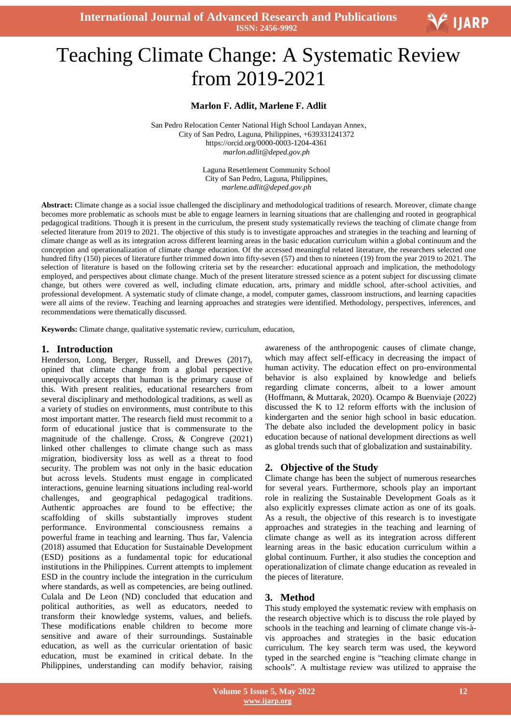**International Journal of Advanced Research and Publications ISSN: 2456-9992**

# Ξ Teaching Climate Change: A Systematic Review from 2019-2021

## **Marlon F. Adlit, Marlene F. Adlit**

San Pedro Relocation Center National High School Landayan Annex, City of San Pedro, Laguna, Philippines, +639331241372 https://orcid.org/0000-0003-1204-4361 *marlon.adlit@deped.gov.ph*

> Laguna Resettlement Community School City of San Pedro, Laguna, Philippines, *marlene.adlit@deped.gov.ph*

**Abstract:** Climate change as a social issue challenged the disciplinary and methodological traditions of research. Moreover, climate change becomes more problematic as schools must be able to engage learners in learning situations that are challenging and rooted in geographical pedagogical traditions. Though it is present in the curriculum, the present study systematically reviews the teaching of climate change from selected literature from 2019 to 2021. The objective of this study is to investigate approaches and strategies in the teaching and learning of climate change as well as its integration across different learning areas in the basic education curriculum within a global continuum and the conception and operationalization of climate change education. Of the accessed meaningful related literature, the researchers selected one hundred fifty (150) pieces of literature further trimmed down into fifty-seven (57) and then to nineteen (19) from the year 2019 to 2021. The selection of literature is based on the following criteria set by the researcher: educational approach and implication, the methodology employed, and perspectives about climate change. Much of the present literature stressed science as a potent subject for discussing climate change, but others were covered as well, including climate education, arts, primary and middle school, after-school activities, and professional development. A systematic study of climate change, a model, computer games, classroom instructions, and learning capacities were all aims of the review. Teaching and learning approaches and strategies were identified. Methodology, perspectives, inferences, and recommendations were thematically discussed.

**Keywords:** Climate change, qualitative systematic review, curriculum, education,

#### **1. Introduction**

Henderson, Long, Berger, Russell, and Drewes (2017), opined that climate change from a global perspective unequivocally accepts that human is the primary cause of this. With present realities, educational researchers from several disciplinary and methodological traditions, as well as a variety of studies on environments, must contribute to this most important matter. The research field must recommit to a form of educational justice that is commensurate to the magnitude of the challenge. Cross, & Congreve (2021) linked other challenges to climate change such as mass migration, biodiversity loss as well as a threat to food security. The problem was not only in the basic education but across levels. Students must engage in complicated interactions, genuine learning situations including real-world challenges, and geographical pedagogical traditions. Authentic approaches are found to be effective; the scaffolding of skills substantially improves student performance. Environmental consciousness remains a powerful frame in teaching and learning. Thus far, Valencia (2018) assumed that Education for Sustainable Development (ESD) positions as a fundamental topic for educational institutions in the Philippines. Current attempts to implement ESD in the country include the integration in the curriculum where standards, as well as competencies, are being outlined. Culala and De Leon (ND) concluded that education and political authorities, as well as educators, needed to transform their knowledge systems, values, and beliefs. These modifications enable children to become more sensitive and aware of their surroundings. Sustainable education, as well as the curricular orientation of basic education, must be examined in critical debate. In the Philippines, understanding can modify behavior, raising

awareness of the anthropogenic causes of climate change, which may affect self-efficacy in decreasing the impact of human activity. The education effect on pro-environmental behavior is also explained by knowledge and beliefs regarding climate concerns, albeit to a lower amount (Hoffmann, & Muttarak, 2020). Ocampo & Buenviaje (2022) discussed the K to 12 reform efforts with the inclusion of kindergarten and the senior high school in basic education. The debate also included the development policy in basic education because of national development directions as well as global trends such that of globalization and sustainability.

## **2. Objective of the Study**

Climate change has been the subject of numerous researches for several years. Furthermore, schools play an important role in realizing the Sustainable Development Goals as it also explicitly expresses climate action as one of its goals. As a result, the objective of this research is to investigate approaches and strategies in the teaching and learning of climate change as well as its integration across different learning areas in the basic education curriculum within a global continuum. Further, it also studies the conception and operationalization of climate change education as revealed in the pieces of literature.

## **3. Method**

This study employed the systematic review with emphasis on the research objective which is to discuss the role played by schools in the teaching and learning of climate change vis-àvis approaches and strategies in the basic education curriculum. The key search term was used, the keyword typed in the searched engine is "teaching climate change in schools". A multistage review was utilized to appraise the

V IJARP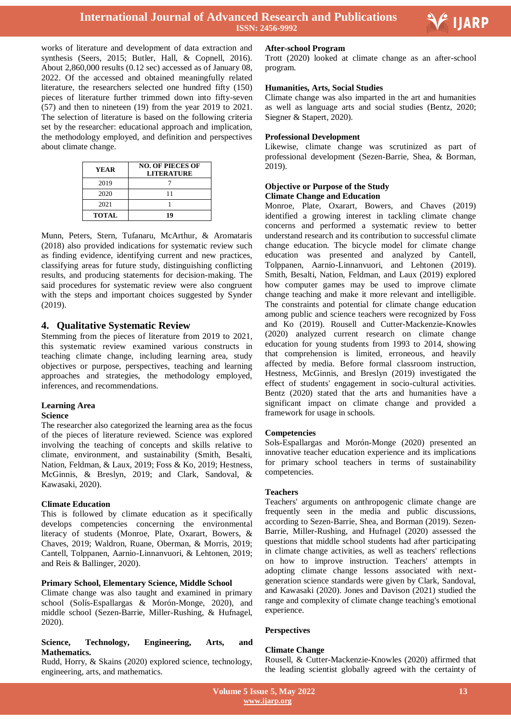

Ξ

works of literature and development of data extraction and synthesis (Seers, 2015; Butler, Hall, & Copnell, 2016). About 2,860,000 results (0.12 sec) accessed as of January 08, 2022. Of the accessed and obtained meaningfully related literature, the researchers selected one hundred fifty (150) pieces of literature further trimmed down into fifty-seven (57) and then to nineteen (19) from the year 2019 to 2021. The selection of literature is based on the following criteria set by the researcher: educational approach and implication, the methodology employed, and definition and perspectives about climate change.

| YEAR         | <b>NO. OF PIECES OF</b><br><b>LITERATURE</b> |
|--------------|----------------------------------------------|
| 2019         |                                              |
| 2020         | 11                                           |
| 2021         |                                              |
| <b>TOTAL</b> | 10                                           |

Munn, Peters, Stern, Tufanaru, McArthur, & Aromataris (2018) also provided indications for systematic review such as finding evidence, identifying current and new practices, classifying areas for future study, distinguishing conflicting results, and producing statements for decision-making. The said procedures for systematic review were also congruent with the steps and important choices suggested by Synder (2019).

## **4. Qualitative Systematic Review**

Stemming from the pieces of literature from 2019 to 2021, this systematic review examined various constructs in teaching climate change, including learning area, study objectives or purpose, perspectives, teaching and learning approaches and strategies, the methodology employed, inferences, and recommendations.

## **Learning Area**

#### **Science**

The researcher also categorized the learning area as the focus of the pieces of literature reviewed. Science was explored involving the teaching of concepts and skills relative to climate, environment, and sustainability (Smith, Besalti, Nation, Feldman, & Laux, 2019; Foss & Ko, 2019; Hestness, McGinnis, & Breslyn, 2019; and Clark, Sandoval, & Kawasaki, 2020).

#### **Climate Education**

This is followed by climate education as it specifically develops competencies concerning the environmental literacy of students (Monroe, Plate, Oxarart, Bowers, & Chaves, 2019; Waldron, Ruane, Oberman, & Morris, 2019; Cantell, Tolppanen, Aarnio-Linnanvuori, & Lehtonen, 2019; and Reis & Ballinger, 2020).

## **Primary School, Elementary Science, Middle School**

Climate change was also taught and examined in primary school (Solís-Espallargas & Morón-Monge, 2020), and middle school (Sezen-Barrie, Miller-Rushing, & Hufnagel, 2020).

## **Science, Technology, Engineering, Arts, and Mathematics.**

Rudd, Horry, & Skains (2020) explored science, technology, engineering, arts, and mathematics.

## **After-school Program**

Trott (2020) looked at climate change as an after-school program.

## **Humanities, Arts, Social Studies**

Climate change was also imparted in the art and humanities as well as language arts and social studies (Bentz, 2020; Siegner & Stapert, 2020).

## **Professional Development**

Likewise, climate change was scrutinized as part of professional development (Sezen-Barrie, Shea, & Borman, 2019).

## **Objective or Purpose of the Study Climate Change and Education**

Monroe, Plate, Oxarart, Bowers, and Chaves (2019) identified a growing interest in tackling climate change concerns and performed a systematic review to better understand research and its contribution to successful climate change education. The bicycle model for climate change education was presented and analyzed by Cantell, Tolppanen, Aarnio-Linnanvuori, and Lehtonen (2019). Smith, Besalti, Nation, Feldman, and Laux (2019) explored how computer games may be used to improve climate change teaching and make it more relevant and intelligible. The constraints and potential for climate change education among public and science teachers were recognized by Foss and Ko (2019). Rousell and Cutter-Mackenzie-Knowles (2020) analyzed current research on climate change education for young students from 1993 to 2014, showing that comprehension is limited, erroneous, and heavily affected by media. Before formal classroom instruction, Hestness, McGinnis, and Breslyn (2019) investigated the effect of students' engagement in socio-cultural activities. Bentz (2020) stated that the arts and humanities have a significant impact on climate change and provided a framework for usage in schools.

## **Competencies**

Sols-Espallargas and Morón-Monge (2020) presented an innovative teacher education experience and its implications for primary school teachers in terms of sustainability competencies.

#### **Teachers**

Teachers' arguments on anthropogenic climate change are frequently seen in the media and public discussions, according to Sezen-Barrie, Shea, and Borman (2019). Sezen-Barrie, Miller-Rushing, and Hufnagel (2020) assessed the questions that middle school students had after participating in climate change activities, as well as teachers' reflections on how to improve instruction. Teachers' attempts in adopting climate change lessons associated with nextgeneration science standards were given by Clark, Sandoval, and Kawasaki (2020). Jones and Davison (2021) studied the range and complexity of climate change teaching's emotional experience.

#### **Perspectives**

#### **Climate Change**

Rousell, & Cutter-Mackenzie-Knowles (2020) affirmed that the leading scientist globally agreed with the certainty of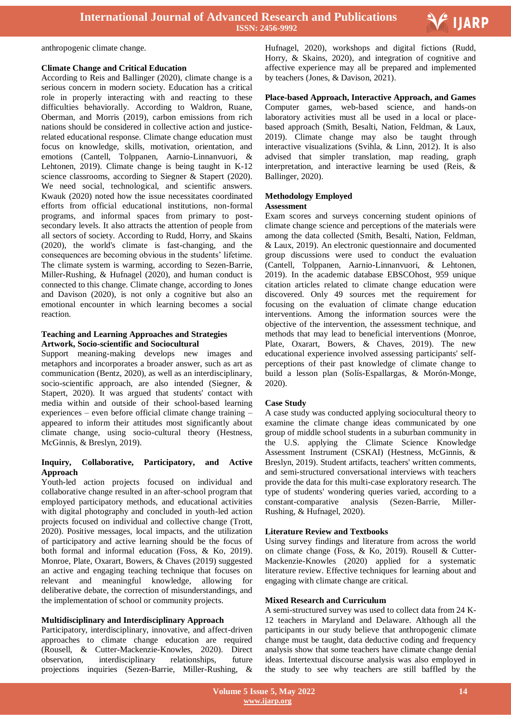anthropogenic climate change.

## **Climate Change and Critical Education**

According to Reis and Ballinger (2020), climate change is a serious concern in modern society. Education has a critical role in properly interacting with and reacting to these difficulties behaviorally. According to Waldron, Ruane, Oberman, and Morris (2019), carbon emissions from rich nations should be considered in collective action and justicerelated educational response. Climate change education must focus on knowledge, skills, motivation, orientation, and emotions (Cantell, Tolppanen, Aarnio-Linnanvuori, & Lehtonen, 2019). Climate change is being taught in K-12 science classrooms, according to Siegner & Stapert (2020). We need social, technological, and scientific answers. Kwauk (2020) noted how the issue necessitates coordinated efforts from official educational institutions, non-formal programs, and informal spaces from primary to postsecondary levels. It also attracts the attention of people from all sectors of society. According to Rudd, Horry, and Skains (2020), the world's climate is fast-changing, and the consequences are becoming obvious in the students" lifetime. The climate system is warming, according to Sezen-Barrie, Miller-Rushing, & Hufnagel (2020), and human conduct is connected to this change. Climate change, according to Jones and Davison (2020), is not only a cognitive but also an emotional encounter in which learning becomes a social reaction.

## **Teaching and Learning Approaches and Strategies Artwork, Socio-scientific and Sociocultural**

Support meaning-making develops new images and metaphors and incorporates a broader answer, such as art as communication (Bentz, 2020), as well as an interdisciplinary, socio-scientific approach, are also intended (Siegner, & Stapert, 2020). It was argued that students' contact with media within and outside of their school-based learning experiences – even before official climate change training – appeared to inform their attitudes most significantly about climate change, using socio-cultural theory (Hestness, McGinnis, & Breslyn, 2019).

## **Inquiry, Collaborative, Participatory, and Active Approach**

Youth-led action projects focused on individual and collaborative change resulted in an after-school program that employed participatory methods, and educational activities with digital photography and concluded in youth-led action projects focused on individual and collective change (Trott, 2020). Positive messages, local impacts, and the utilization of participatory and active learning should be the focus of both formal and informal education (Foss, & Ko, 2019). Monroe, Plate, Oxarart, Bowers, & Chaves (2019) suggested an active and engaging teaching technique that focuses on relevant and meaningful knowledge, allowing for deliberative debate, the correction of misunderstandings, and the implementation of school or community projects.

## **Multidisciplinary and Interdisciplinary Approach**

Participatory, interdisciplinary, innovative, and affect-driven approaches to climate change education are required (Rousell, & Cutter-Mackenzie-Knowles, 2020). Direct observation, interdisciplinary relationships, future projections inquiries (Sezen-Barrie, Miller-Rushing, &

 Hufnagel, 2020), workshops and digital fictions (Rudd, Horry, & Skains, 2020), and integration of cognitive and affective experience may all be prepared and implemented by teachers (Jones, & Davison, 2021).

V IJARP

**Place-based Approach, Interactive Approach, and Games**  Computer games, web-based science, and hands-on laboratory activities must all be used in a local or placebased approach (Smith, Besalti, Nation, Feldman, & Laux, 2019). Climate change may also be taught through interactive visualizations (Svihla, & Linn, 2012). It is also advised that simpler translation, map reading, graph interpretation, and interactive learning be used (Reis, & Ballinger, 2020).

## **Methodology Employed**

## **Assessment**

Exam scores and surveys concerning student opinions of climate change science and perceptions of the materials were among the data collected (Smith, Besalti, Nation, Feldman, & Laux, 2019). An electronic questionnaire and documented group discussions were used to conduct the evaluation (Cantell, Tolppanen, Aarnio-Linnanvuori, & Lehtonen, 2019). In the academic database EBSCOhost, 959 unique citation articles related to climate change education were discovered. Only 49 sources met the requirement for focusing on the evaluation of climate change education interventions. Among the information sources were the objective of the intervention, the assessment technique, and methods that may lead to beneficial interventions (Monroe, Plate, Oxarart, Bowers, & Chaves, 2019). The new educational experience involved assessing participants' selfperceptions of their past knowledge of climate change to build a lesson plan (Solís-Espallargas, & Morón-Monge, 2020).

## **Case Study**

A case study was conducted applying sociocultural theory to examine the climate change ideas communicated by one group of middle school students in a suburban community in the U.S. applying the Climate Science Knowledge Assessment Instrument (CSKAI) (Hestness, McGinnis, & Breslyn, 2019). Student artifacts, teachers' written comments, and semi-structured conversational interviews with teachers provide the data for this multi-case exploratory research. The type of students' wondering queries varied, according to a constant-comparative analysis (Sezen-Barrie, Miller-Rushing, & Hufnagel, 2020).

## **Literature Review and Textbooks**

Using survey findings and literature from across the world on climate change (Foss, & Ko, 2019). Rousell & Cutter-Mackenzie-Knowles (2020) applied for a systematic literature review. Effective techniques for learning about and engaging with climate change are critical.

## **Mixed Research and Curriculum**

A semi-structured survey was used to collect data from 24 K-12 teachers in Maryland and Delaware. Although all the participants in our study believe that anthropogenic climate change must be taught, data deductive coding and frequency analysis show that some teachers have climate change denial ideas. Intertextual discourse analysis was also employed in the study to see why teachers are still baffled by the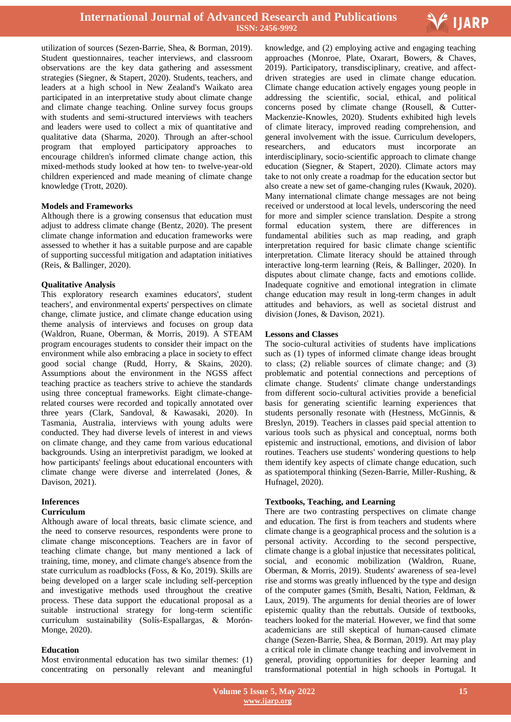

utilization of sources (Sezen-Barrie, Shea, & Borman, 2019). Student questionnaires, teacher interviews, and classroom observations are the key data gathering and assessment strategies (Siegner, & Stapert, 2020). Students, teachers, and leaders at a high school in New Zealand's Waikato area participated in an interpretative study about climate change and climate change teaching. Online survey focus groups with students and semi-structured interviews with teachers and leaders were used to collect a mix of quantitative and qualitative data (Sharma, 2020). Through an after-school program that employed participatory approaches to encourage children's informed climate change action, this mixed-methods study looked at how ten- to twelve-year-old children experienced and made meaning of climate change knowledge (Trott, 2020).

#### **Models and Frameworks**

Although there is a growing consensus that education must adjust to address climate change (Bentz, 2020). The present climate change information and education frameworks were assessed to whether it has a suitable purpose and are capable of supporting successful mitigation and adaptation initiatives (Reis, & Ballinger, 2020).

#### **Qualitative Analysis**

This exploratory research examines educators', student teachers', and environmental experts' perspectives on climate change, climate justice, and climate change education using theme analysis of interviews and focuses on group data (Waldron, Ruane, Oberman, & Morris, 2019). A STEAM program encourages students to consider their impact on the environment while also embracing a place in society to effect good social change (Rudd, Horry, & Skains, 2020). Assumptions about the environment in the NGSS affect teaching practice as teachers strive to achieve the standards using three conceptual frameworks. Eight climate-changerelated courses were recorded and topically annotated over three years (Clark, Sandoval, & Kawasaki, 2020). In Tasmania, Australia, interviews with young adults were conducted. They had diverse levels of interest in and views on climate change, and they came from various educational backgrounds. Using an interpretivist paradigm, we looked at how participants' feelings about educational encounters with climate change were diverse and interrelated (Jones, & Davison, 2021).

## **Inferences**

## **Curriculum**

Although aware of local threats, basic climate science, and the need to conserve resources, respondents were prone to climate change misconceptions. Teachers are in favor of teaching climate change, but many mentioned a lack of training, time, money, and climate change's absence from the state curriculum as roadblocks (Foss, & Ko, 2019). Skills are being developed on a larger scale including self-perception and investigative methods used throughout the creative process. These data support the educational proposal as a suitable instructional strategy for long-term scientific curriculum sustainability (Solís-Espallargas, & Morón-Monge, 2020).

#### **Education**

Most environmental education has two similar themes: (1) concentrating on personally relevant and meaningful

 knowledge, and (2) employing active and engaging teaching approaches (Monroe, Plate, Oxarart, Bowers, & Chaves, 2019). Participatory, transdisciplinary, creative, and affectdriven strategies are used in climate change education. Climate change education actively engages young people in addressing the scientific, social, ethical, and political concerns posed by climate change (Rousell, & Cutter-Mackenzie-Knowles, 2020). Students exhibited high levels of climate literacy, improved reading comprehension, and general involvement with the issue. Curriculum developers, researchers, and educators must incorporate an interdisciplinary, socio-scientific approach to climate change education (Siegner, & Stapert, 2020). Climate actors may take to not only create a roadmap for the education sector but also create a new set of game-changing rules (Kwauk, 2020). Many international climate change messages are not being received or understood at local levels, underscoring the need for more and simpler science translation. Despite a strong formal education system, there are differences in fundamental abilities such as map reading, and graph interpretation required for basic climate change scientific interpretation. Climate literacy should be attained through interactive long-term learning (Reis, & Ballinger, 2020). In disputes about climate change, facts and emotions collide. Inadequate cognitive and emotional integration in climate change education may result in long-term changes in adult attitudes and behaviors, as well as societal distrust and division (Jones, & Davison, 2021).

#### **Lessons and Classes**

The socio-cultural activities of students have implications such as (1) types of informed climate change ideas brought to class; (2) reliable sources of climate change; and (3) problematic and potential connections and perceptions of climate change. Students' climate change understandings from different socio-cultural activities provide a beneficial basis for generating scientific learning experiences that students personally resonate with (Hestness, McGinnis, & Breslyn, 2019). Teachers in classes paid special attention to various tools such as physical and conceptual, norms both epistemic and instructional, emotions, and division of labor routines. Teachers use students' wondering questions to help them identify key aspects of climate change education, such as spatiotemporal thinking (Sezen-Barrie, Miller-Rushing, & Hufnagel, 2020).

## **Textbooks, Teaching, and Learning**

There are two contrasting perspectives on climate change and education. The first is from teachers and students where climate change is a geographical process and the solution is a personal activity. According to the second perspective, climate change is a global injustice that necessitates political, social, and economic mobilization (Waldron, Ruane, Oberman, & Morris, 2019). Students' awareness of sea-level rise and storms was greatly influenced by the type and design of the computer games (Smith, Besalti, Nation, Feldman, & Laux, 2019). The arguments for denial theories are of lower epistemic quality than the rebuttals. Outside of textbooks, teachers looked for the material. However, we find that some academicians are still skeptical of human-caused climate change (Sezen-Barrie, Shea, & Borman, 2019). Art may play a critical role in climate change teaching and involvement in general, providing opportunities for deeper learning and transformational potential in high schools in Portugal. It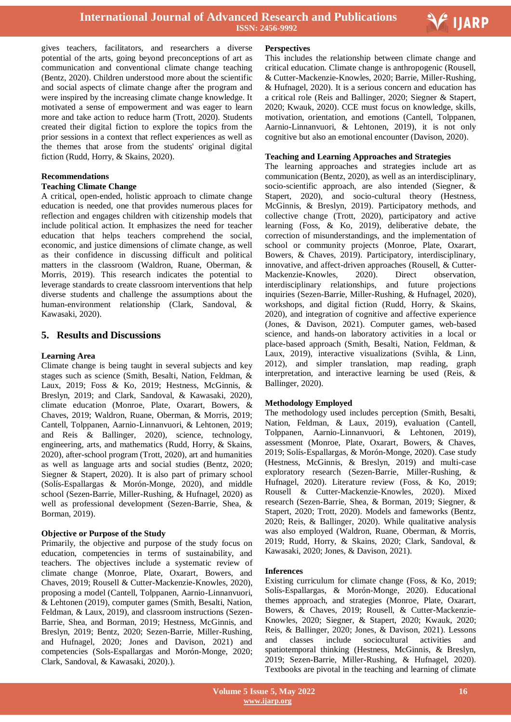

Ξ

gives teachers, facilitators, and researchers a diverse potential of the arts, going beyond preconceptions of art as communication and conventional climate change teaching (Bentz, 2020). Children understood more about the scientific and social aspects of climate change after the program and were inspired by the increasing climate change knowledge. It motivated a sense of empowerment and was eager to learn more and take action to reduce harm (Trott, 2020). Students created their digital fiction to explore the topics from the prior sessions in a context that reflect experiences as well as the themes that arose from the students' original digital fiction (Rudd, Horry, & Skains, 2020).

## **Recommendations**

## **Teaching Climate Change**

A critical, open-ended, holistic approach to climate change education is needed, one that provides numerous places for reflection and engages children with citizenship models that include political action. It emphasizes the need for teacher education that helps teachers comprehend the social, economic, and justice dimensions of climate change, as well as their confidence in discussing difficult and political matters in the classroom (Waldron, Ruane, Oberman, & Morris, 2019). This research indicates the potential to leverage standards to create classroom interventions that help diverse students and challenge the assumptions about the human-environment relationship (Clark, Sandoval, & Kawasaki, 2020).

## **5. Results and Discussions**

#### **Learning Area**

Climate change is being taught in several subjects and key stages such as science (Smith, Besalti, Nation, Feldman, & Laux, 2019; Foss & Ko, 2019; Hestness, McGinnis, & Breslyn, 2019; and Clark, Sandoval, & Kawasaki, 2020), climate education (Monroe, Plate, Oxarart, Bowers, & Chaves, 2019; Waldron, Ruane, Oberman, & Morris, 2019; Cantell, Tolppanen, Aarnio-Linnanvuori, & Lehtonen, 2019; and Reis & Ballinger, 2020), science, technology, engineering, arts, and mathematics (Rudd, Horry, & Skains, 2020), after-school program (Trott, 2020), art and humanities as well as language arts and social studies (Bentz, 2020; Siegner & Stapert, 2020). It is also part of primary school (Solís-Espallargas & Morón-Monge, 2020), and middle school (Sezen-Barrie, Miller-Rushing, & Hufnagel, 2020) as well as professional development (Sezen-Barrie, Shea, & Borman, 2019).

#### **Objective or Purpose of the Study**

Primarily, the objective and purpose of the study focus on education, competencies in terms of sustainability, and teachers. The objectives include a systematic review of climate change (Monroe, Plate, Oxarart, Bowers, and Chaves, 2019; Rousell & Cutter-Mackenzie-Knowles, 2020), proposing a model (Cantell, Tolppanen, Aarnio-Linnanvuori, & Lehtonen (2019), computer games (Smith, Besalti, Nation, Feldman, & Laux, 2019), and classroom instructions (Sezen-Barrie, Shea, and Borman, 2019; Hestness, McGinnis, and Breslyn, 2019; Bentz, 2020; Sezen-Barrie, Miller-Rushing, and Hufnagel, 2020; Jones and Davison, 2021) and competencies (Sols-Espallargas and Morón-Monge, 2020; Clark, Sandoval, & Kawasaki, 2020).).

#### **Perspectives**

This includes the relationship between climate change and critical education. Climate change is anthropogenic (Rousell, & Cutter-Mackenzie-Knowles, 2020; Barrie, Miller-Rushing, & Hufnagel, 2020). It is a serious concern and education has a critical role (Reis and Ballinger, 2020; Siegner & Stapert, 2020; Kwauk, 2020). CCE must focus on knowledge, skills, motivation, orientation, and emotions (Cantell, Tolppanen, Aarnio-Linnanvuori, & Lehtonen, 2019), it is not only cognitive but also an emotional encounter (Davison, 2020).

## **Teaching and Learning Approaches and Strategies**

The learning approaches and strategies include art as communication (Bentz, 2020), as well as an interdisciplinary, socio-scientific approach, are also intended (Siegner, & Stapert, 2020), and socio-cultural theory (Hestness, McGinnis, & Breslyn, 2019). Participatory methods, and collective change (Trott, 2020), participatory and active learning (Foss, & Ko, 2019), deliberative debate, the correction of misunderstandings, and the implementation of school or community projects (Monroe, Plate, Oxarart, Bowers, & Chaves, 2019). Participatory, interdisciplinary, innovative, and affect-driven approaches (Rousell, & Cutter-Mackenzie-Knowles, 2020). Direct observation, interdisciplinary relationships, and future projections inquiries (Sezen-Barrie, Miller-Rushing, & Hufnagel, 2020), workshops, and digital fiction (Rudd, Horry, & Skains, 2020), and integration of cognitive and affective experience (Jones, & Davison, 2021). Computer games, web-based science, and hands-on laboratory activities in a local or place-based approach (Smith, Besalti, Nation, Feldman, & Laux, 2019), interactive visualizations (Svihla, & Linn, 2012), and simpler translation, map reading, graph interpretation, and interactive learning be used (Reis, & Ballinger, 2020).

#### **Methodology Employed**

The methodology used includes perception (Smith, Besalti, Nation, Feldman, & Laux, 2019), evaluation (Cantell, Tolppanen, Aarnio-Linnanvuori, & Lehtonen, 2019), assessment (Monroe, Plate, Oxarart, Bowers, & Chaves, 2019; Solís-Espallargas, & Morón-Monge, 2020). Case study (Hestness, McGinnis, & Breslyn, 2019) and multi-case exploratory research (Sezen-Barrie, Miller-Rushing, & Hufnagel, 2020). Literature review (Foss, & Ko, 2019; Rousell & Cutter-Mackenzie-Knowles, 2020). Mixed research (Sezen-Barrie, Shea, & Borman, 2019; Siegner, & Stapert, 2020; Trott, 2020). Models and fameworks (Bentz, 2020; Reis, & Ballinger, 2020). While qualitative analysis was also employed (Waldron, Ruane, Oberman, & Morris, 2019; Rudd, Horry, & Skains, 2020; Clark, Sandoval, & Kawasaki, 2020; Jones, & Davison, 2021).

#### **Inferences**

Existing curriculum for climate change (Foss, & Ko, 2019; Solís-Espallargas, & Morón-Monge, 2020). Educational themes approach, and strategies (Monroe, Plate, Oxarart, Bowers, & Chaves, 2019; Rousell, & Cutter-Mackenzie-Knowles, 2020; Siegner, & Stapert, 2020; Kwauk, 2020; Reis, & Ballinger, 2020; Jones, & Davison, 2021). Lessons and classes include sociocultural activities and spatiotemporal thinking (Hestness, McGinnis, & Breslyn, 2019; Sezen-Barrie, Miller-Rushing, & Hufnagel, 2020). Textbooks are pivotal in the teaching and learning of climate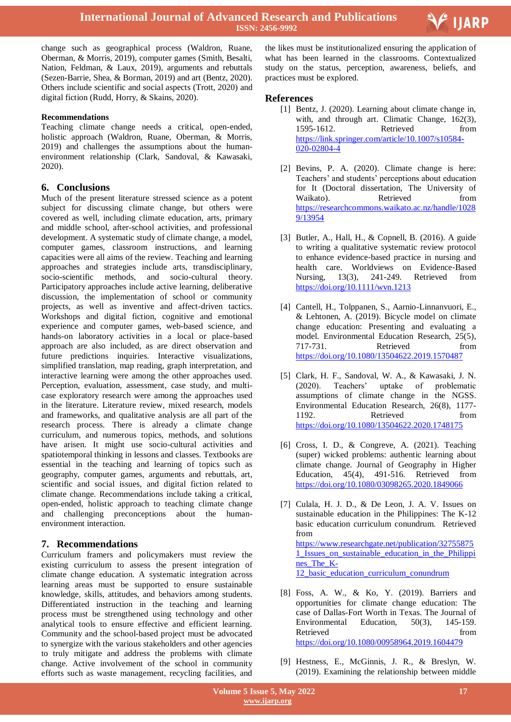

change such as geographical process (Waldron, Ruane, Oberman, & Morris, 2019), computer games (Smith, Besalti, Nation, Feldman, & Laux, 2019), arguments and rebuttals (Sezen-Barrie, Shea, & Borman, 2019) and art (Bentz, 2020). Others include scientific and social aspects (Trott, 2020) and digital fiction (Rudd, Horry, & Skains, 2020).

## **Recommendations**

Teaching climate change needs a critical, open-ended, holistic approach (Waldron, Ruane, Oberman, & Morris, 2019) and challenges the assumptions about the humanenvironment relationship (Clark, Sandoval, & Kawasaki, 2020).

## **6. Conclusions**

Much of the present literature stressed science as a potent subject for discussing climate change, but others were covered as well, including climate education, arts, primary and middle school, after-school activities, and professional development. A systematic study of climate change, a model, computer games, classroom instructions, and learning capacities were all aims of the review. Teaching and learning approaches and strategies include arts, transdisciplinary, socio-scientific methods, and socio-cultural theory. Participatory approaches include active learning, deliberative discussion, the implementation of school or community projects, as well as inventive and affect-driven tactics. Workshops and digital fiction, cognitive and emotional experience and computer games, web-based science, and hands-on laboratory activities in a local or place-based approach are also included, as are direct observation and future predictions inquiries. Interactive visualizations, simplified translation, map reading, graph interpretation, and interactive learning were among the other approaches used. Perception, evaluation, assessment, case study, and multicase exploratory research were among the approaches used in the literature. Literature review, mixed research, models and frameworks, and qualitative analysis are all part of the research process. There is already a climate change curriculum, and numerous topics, methods, and solutions have arisen. It might use socio-cultural activities and spatiotemporal thinking in lessons and classes. Textbooks are essential in the teaching and learning of topics such as geography, computer games, arguments and rebuttals, art, scientific and social issues, and digital fiction related to climate change. Recommendations include taking a critical, open-ended, holistic approach to teaching climate change and challenging preconceptions about the humanenvironment interaction.

## **7. Recommendations**

Curriculum framers and policymakers must review the existing curriculum to assess the present integration of climate change education. A systematic integration across learning areas must be supported to ensure sustainable knowledge, skills, attitudes, and behaviors among students. Differentiated instruction in the teaching and learning process must be strengthened using technology and other analytical tools to ensure effective and efficient learning. Community and the school-based project must be advocated to synergize with the various stakeholders and other agencies to truly mitigate and address the problems with climate change. Active involvement of the school in community efforts such as waste management, recycling facilities, and

 the likes must be institutionalized ensuring the application of what has been learned in the classrooms. Contextualized study on the status, perception, awareness, beliefs, and practices must be explored.

## **References**

- [1] Bentz, J. (2020). Learning about climate change in, with, and through art. Climatic Change, 162(3), 1595-1612. Retrieved from [https://link.springer.com/article/10.1007/s10584-](https://link.springer.com/article/10.1007/s10584-020-02804-4) [020-02804-4](https://link.springer.com/article/10.1007/s10584-020-02804-4)
- [2] Bevins, P. A. (2020). Climate change is here: Teachers" and students" perceptions about education for It (Doctoral dissertation, The University of Waikato). Retrieved from [https://researchcommons.waikato.ac.nz/handle/1028](https://researchcommons.waikato.ac.nz/handle/10289/13954) [9/13954](https://researchcommons.waikato.ac.nz/handle/10289/13954)
- [3] Butler, A., Hall, H., & Copnell, B. (2016). A guide to writing a qualitative systematic review protocol to enhance evidence‐based practice in nursing and health care. Worldviews on Evidence-Based Nursing, 13(3), 241-249. Retrieved from <https://doi.org/10.1111/wvn.1213>
- [4] Cantell, H., Tolppanen, S., Aarnio-Linnanvuori, E., & Lehtonen, A. (2019). Bicycle model on climate change education: Presenting and evaluating a model. Environmental Education Research, 25(5), 717-731. Retrieved from <https://doi.org/10.1080/13504622.2019.1570487>
- [5] Clark, H. F., Sandoval, W. A., & Kawasaki, J. N. (2020). Teachers" uptake of problematic assumptions of climate change in the NGSS. Environmental Education Research, 26(8), 1177- 1192. Retrieved from <https://doi.org/10.1080/13504622.2020.1748175>
- [6] Cross, I. D., & Congreve, A. (2021). Teaching (super) wicked problems: authentic learning about climate change. Journal of Geography in Higher Education, 45(4), 491-516. Retrieved from <https://doi.org/10.1080/03098265.2020.1849066>
- [7] Culala, H. J. D., & De Leon, J. A. V. Issues on sustainable education in the Philippines: The K-12 basic education curriculum conundrum. Retrieved from [https://www.researchgate.net/publication/32755875](https://www.researchgate.net/publication/327558751_Issues_on_sustainable_education_in_the_Philippines_The_K-12_basic_education_curriculum_conundrum) [1\\_Issues\\_on\\_sustainable\\_education\\_in\\_the\\_Philippi](https://www.researchgate.net/publication/327558751_Issues_on_sustainable_education_in_the_Philippines_The_K-12_basic_education_curriculum_conundrum) [nes\\_The\\_K-](https://www.researchgate.net/publication/327558751_Issues_on_sustainable_education_in_the_Philippines_The_K-12_basic_education_curriculum_conundrum)[12\\_basic\\_education\\_curriculum\\_conundrum](https://www.researchgate.net/publication/327558751_Issues_on_sustainable_education_in_the_Philippines_The_K-12_basic_education_curriculum_conundrum)
- [8] Foss, A. W., & Ko, Y. (2019). Barriers and opportunities for climate change education: The case of Dallas-Fort Worth in Texas. The Journal of Environmental Education, 50(3), 145-159. Retrieved from  $\sim$ <https://doi.org/10.1080/00958964.2019.1604479>
- [9] Hestness, E., McGinnis, J. R., & Breslyn, W. (2019). Examining the relationship between middle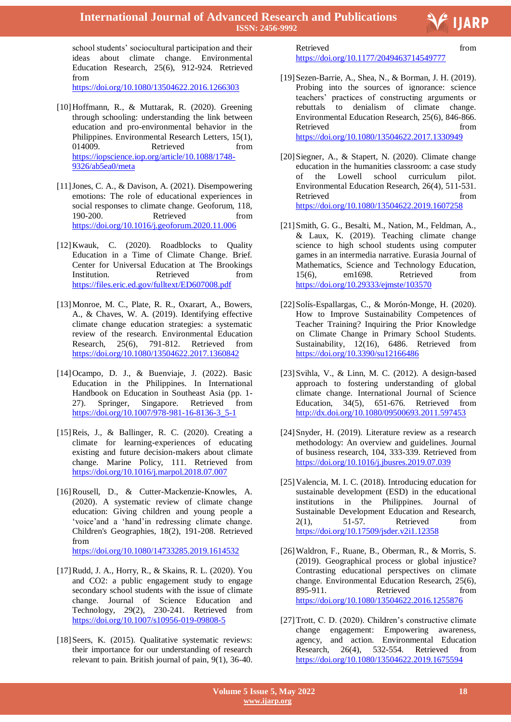V IJARP

school students' sociocultural participation and their ideas about climate change. Environmental Education Research, 25(6), 912-924. Retrieved from

<https://doi.org/10.1080/13504622.2016.1266303>

- [10]Hoffmann, R., & Muttarak, R. (2020). Greening through schooling: understanding the link between education and pro-environmental behavior in the Philippines. Environmental Research Letters, 15(1), 014009. Retrieved from [https://iopscience.iop.org/article/10.1088/1748-](https://iopscience.iop.org/article/10.1088/1748-9326/ab5ea0/meta) [9326/ab5ea0/meta](https://iopscience.iop.org/article/10.1088/1748-9326/ab5ea0/meta)
- [11]Jones, C. A., & Davison, A. (2021). Disempowering emotions: The role of educational experiences in social responses to climate change. Geoforum, 118, 190-200. Retrieved from <https://doi.org/10.1016/j.geoforum.2020.11.006>
- [12] Kwauk, C. (2020). Roadblocks to Quality Education in a Time of Climate Change. Brief. Center for Universal Education at The Brookings Institution. Retrieved from <https://files.eric.ed.gov/fulltext/ED607008.pdf>
- [13]Monroe, M. C., Plate, R. R., Oxarart, A., Bowers, A., & Chaves, W. A. (2019). Identifying effective climate change education strategies: a systematic review of the research. Environmental Education Research, 25(6), 791-812. Retrieved from <https://doi.org/10.1080/13504622.2017.1360842>
- [14]Ocampo, D. J., & Buenviaje, J. (2022). Basic Education in the Philippines. In International Handbook on Education in Southeast Asia (pp. 1- 27). Springer, Singapore. Retrieved from [https://doi.org/10.1007/978-981-16-8136-3\\_5-1](https://doi.org/10.1007/978-981-16-8136-3_5-1)
- [15]Reis, J., & Ballinger, R. C. (2020). Creating a climate for learning-experiences of educating existing and future decision-makers about climate change. Marine Policy, 111. Retrieved from <https://doi.org/10.1016/j.marpol.2018.07.007>
- [16]Rousell, D., & Cutter-Mackenzie-Knowles, A. (2020). A systematic review of climate change education: Giving children and young people a "voice"and a "hand"in redressing climate change. Children's Geographies, 18(2), 191-208. Retrieved from <https://doi.org/10.1080/14733285.2019.1614532>
- [17]Rudd, J. A., Horry, R., & Skains, R. L. (2020). You and CO2: a public engagement study to engage secondary school students with the issue of climate change. Journal of Science Education and Technology, 29(2), 230-241. Retrieved from <https://doi.org/10.1007/s10956-019-09808-5>
- [18] Seers, K. (2015). Qualitative systematic reviews: their importance for our understanding of research relevant to pain. British journal of pain, 9(1), 36-40.

Ξ Retrieved from the settlement of the settlement of the settlement of the settlement of the settlement of the settlement of the settlement of the settlement of the settlement of the settlement of the settlement of the settl <https://doi.org/10.1177/2049463714549777>

- [19] Sezen-Barrie, A., Shea, N., & Borman, J. H. (2019). Probing into the sources of ignorance: science teachers" practices of constructing arguments or rebuttals to denialism of climate change. Environmental Education Research, 25(6), 846-866. Retrieved from  $\sim$ <https://doi.org/10.1080/13504622.2017.1330949>
- [20]Siegner, A., & Stapert, N. (2020). Climate change education in the humanities classroom: a case study of the Lowell school curriculum pilot. Environmental Education Research, 26(4), 511-531. Retrieved from <https://doi.org/10.1080/13504622.2019.1607258>
- [21]Smith, G. G., Besalti, M., Nation, M., Feldman, A., & Laux, K. (2019). Teaching climate change science to high school students using computer games in an intermedia narrative. Eurasia Journal of Mathematics, Science and Technology Education, 15(6), em1698. Retrieved from <https://doi.org/10.29333/ejmste/103570>
- [22] Solís-Espallargas, C., & Morón-Monge, H. (2020). How to Improve Sustainability Competences of Teacher Training? Inquiring the Prior Knowledge on Climate Change in Primary School Students. Sustainability, 12(16), 6486. Retrieved from <https://doi.org/10.3390/su12166486>
- [23] Svihla, V., & Linn, M. C. (2012). A design-based approach to fostering understanding of global climate change. International Journal of Science Education, 34(5), 651-676. Retrieved from <http://dx.doi.org/10.1080/09500693.2011.597453>
- [24] Snyder, H. (2019). Literature review as a research methodology: An overview and guidelines. Journal of business research, 104, 333-339. Retrieved from <https://doi.org/10.1016/j.jbusres.2019.07.039>
- [25] Valencia, M. I. C. (2018). Introducing education for sustainable development (ESD) in the educational institutions in the Philippines. Journal of Sustainable Development Education and Research, 2(1), 51-57. Retrieved from <https://doi.org/10.17509/jsder.v2i1.12358>
- [26]Waldron, F., Ruane, B., Oberman, R., & Morris, S. (2019). Geographical process or global injustice? Contrasting educational perspectives on climate change. Environmental Education Research, 25(6), 895-911. Retrieved from <https://doi.org/10.1080/13504622.2016.1255876>
- [27] Trott, C. D. (2020). Children's constructive climate change engagement: Empowering awareness, agency, and action. Environmental Education Research, 26(4), 532-554. Retrieved from <https://doi.org/10.1080/13504622.2019.1675594>